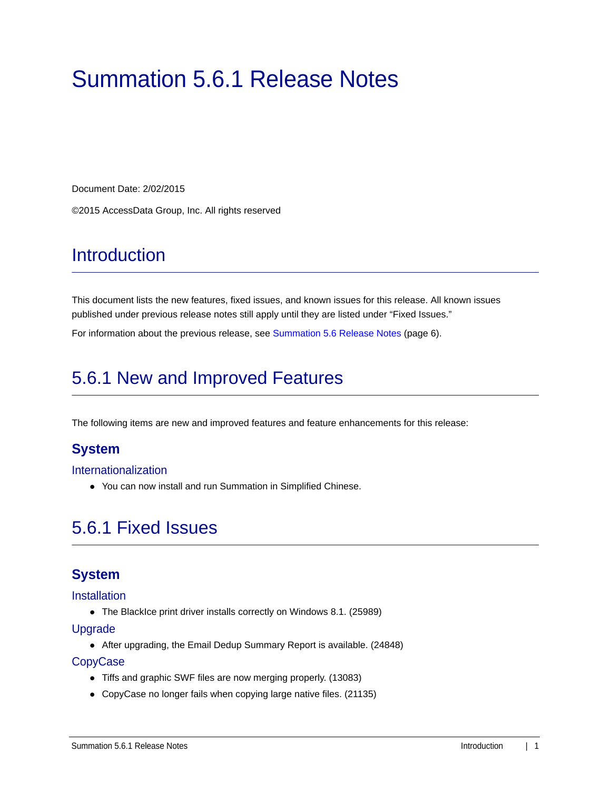# Summation 5.6.1 Release Notes

Document Date: 2/02/2015

©2015 AccessData Group, Inc. All rights reserved

# **Introduction**

This document lists the new features, fixed issues, and known issues for this release. All known issues published under previous release notes still apply until they are listed under "Fixed Issues."

For information about the previous release, see [Summation 5.6 Release Notes \(page 6\)](#page-5-0).

# 5.6.1 New and Improved Features

The following items are new and improved features and feature enhancements for this release:

# **System**

#### Internationalization

You can now install and run Summation in Simplified Chinese.

# 5.6.1 Fixed Issues

# **System**

#### **Installation**

• The BlackIce print driver installs correctly on Windows 8.1. (25989)

#### Upgrade

After upgrading, the Email Dedup Summary Report is available. (24848)

#### **CopyCase**

- Tiffs and graphic SWF files are now merging properly. (13083)
- CopyCase no longer fails when copying large native files. (21135)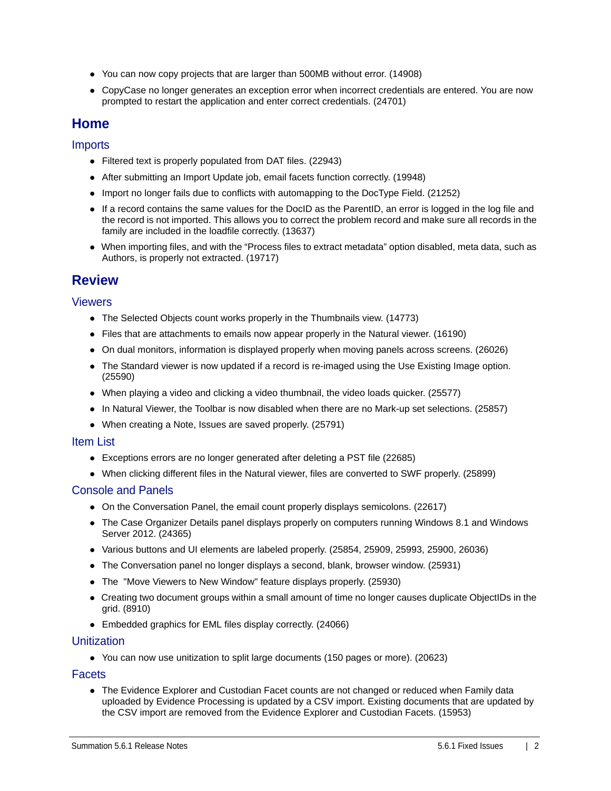- You can now copy projects that are larger than 500MB without error. (14908)
- CopyCase no longer generates an exception error when incorrect credentials are entered. You are now prompted to restart the application and enter correct credentials. (24701)

# **Home**

## Imports

- Filtered text is properly populated from DAT files. (22943)
- After submitting an Import Update job, email facets function correctly. (19948)
- Import no longer fails due to conflicts with automapping to the DocType Field. (21252)
- If a record contains the same values for the DocID as the ParentID, an error is logged in the log file and the record is not imported. This allows you to correct the problem record and make sure all records in the family are included in the loadfile correctly. (13637)
- When importing files, and with the "Process files to extract metadata" option disabled, meta data, such as Authors, is properly not extracted. (19717)

# **Review**

### Viewers

- The Selected Objects count works properly in the Thumbnails view. (14773)
- Files that are attachments to emails now appear properly in the Natural viewer. (16190)
- On dual monitors, information is displayed properly when moving panels across screens. (26026)
- The Standard viewer is now updated if a record is re-imaged using the Use Existing Image option. (25590)
- When playing a video and clicking a video thumbnail, the video loads quicker. (25577)
- In Natural Viewer, the Toolbar is now disabled when there are no Mark-up set selections. (25857)
- When creating a Note, Issues are saved properly. (25791)

#### Item List

- Exceptions errors are no longer generated after deleting a PST file (22685)
- When clicking different files in the Natural viewer, files are converted to SWF properly. (25899)

#### Console and Panels

- On the Conversation Panel, the email count properly displays semicolons. (22617)
- The Case Organizer Details panel displays properly on computers running Windows 8.1 and Windows Server 2012. (24365)
- Various buttons and UI elements are labeled properly. (25854, 25909, 25993, 25900, 26036)
- The Conversation panel no longer displays a second, blank, browser window. (25931)
- The "Move Viewers to New Window" feature displays properly. (25930)
- Creating two document groups within a small amount of time no longer causes duplicate ObjectIDs in the grid. (8910)
- Embedded graphics for EML files display correctly. (24066)

#### **Unitization**

• You can now use unitization to split large documents (150 pages or more). (20623)

#### **Facets**

• The Evidence Explorer and Custodian Facet counts are not changed or reduced when Family data uploaded by Evidence Processing is updated by a CSV import. Existing documents that are updated by the CSV import are removed from the Evidence Explorer and Custodian Facets. (15953)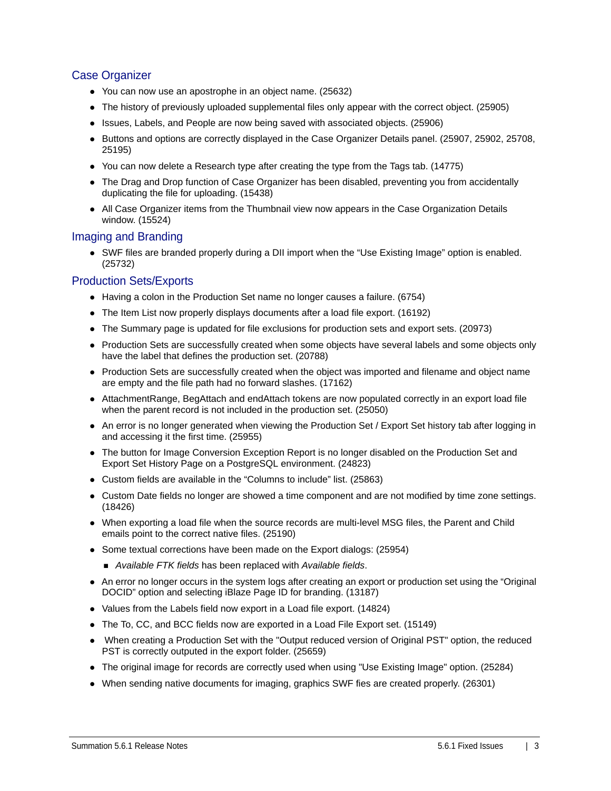# Case Organizer

- You can now use an apostrophe in an object name. (25632)
- The history of previously uploaded supplemental files only appear with the correct object. (25905)
- Issues, Labels, and People are now being saved with associated objects. (25906)
- Buttons and options are correctly displayed in the Case Organizer Details panel. (25907, 25902, 25708, 25195)
- You can now delete a Research type after creating the type from the Tags tab. (14775)
- The Drag and Drop function of Case Organizer has been disabled, preventing you from accidentally duplicating the file for uploading. (15438)
- All Case Organizer items from the Thumbnail view now appears in the Case Organization Details window. (15524)

## Imaging and Branding

• SWF files are branded properly during a DII import when the "Use Existing Image" option is enabled. (25732)

### Production Sets/Exports

- Having a colon in the Production Set name no longer causes a failure. (6754)
- The Item List now properly displays documents after a load file export. (16192)
- The Summary page is updated for file exclusions for production sets and export sets. (20973)
- Production Sets are successfully created when some objects have several labels and some objects only have the label that defines the production set. (20788)
- Production Sets are successfully created when the object was imported and filename and object name are empty and the file path had no forward slashes. (17162)
- AttachmentRange, BegAttach and endAttach tokens are now populated correctly in an export load file when the parent record is not included in the production set. (25050)
- An error is no longer generated when viewing the Production Set / Export Set history tab after logging in and accessing it the first time. (25955)
- The button for Image Conversion Exception Report is no longer disabled on the Production Set and Export Set History Page on a PostgreSQL environment. (24823)
- Custom fields are available in the "Columns to include" list. (25863)
- Custom Date fields no longer are showed a time component and are not modified by time zone settings. (18426)
- When exporting a load file when the source records are multi-level MSG files, the Parent and Child emails point to the correct native files. (25190)
- Some textual corrections have been made on the Export dialogs: (25954)
	- *Available FTK fields* has been replaced with *Available fields*.
- An error no longer occurs in the system logs after creating an export or production set using the "Original DOCID" option and selecting iBlaze Page ID for branding. (13187)
- Values from the Labels field now export in a Load file export. (14824)
- The To, CC, and BCC fields now are exported in a Load File Export set. (15149)
- When creating a Production Set with the "Output reduced version of Original PST" option, the reduced PST is correctly outputed in the export folder. (25659)
- The original image for records are correctly used when using "Use Existing Image" option. (25284)
- When sending native documents for imaging, graphics SWF fies are created properly. (26301)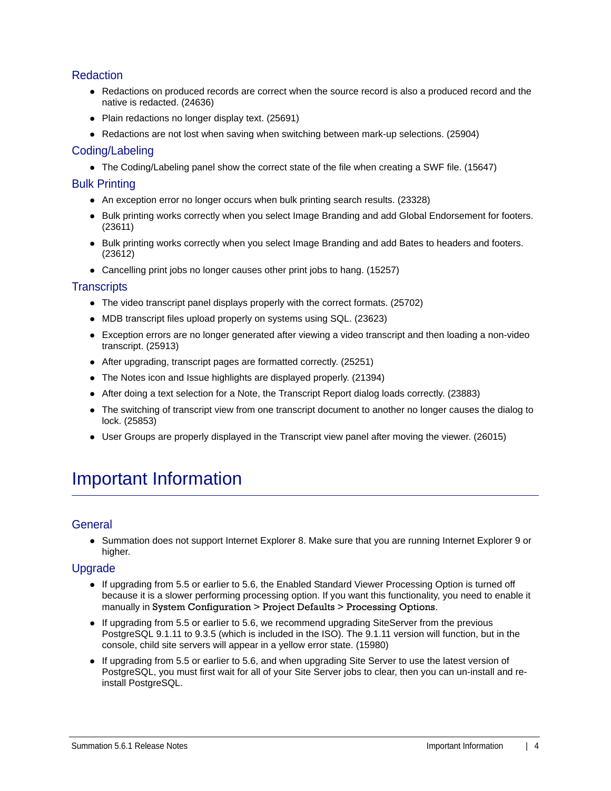# **Redaction**

- Redactions on produced records are correct when the source record is also a produced record and the native is redacted. (24636)
- Plain redactions no longer display text. (25691)
- Redactions are not lost when saving when switching between mark-up selections. (25904)

### Coding/Labeling

• The Coding/Labeling panel show the correct state of the file when creating a SWF file. (15647)

#### Bulk Printing

- An exception error no longer occurs when bulk printing search results. (23328)
- Bulk printing works correctly when you select Image Branding and add Global Endorsement for footers. (23611)
- Bulk printing works correctly when you select Image Branding and add Bates to headers and footers. (23612)
- Cancelling print jobs no longer causes other print jobs to hang. (15257)

#### **Transcripts**

- The video transcript panel displays properly with the correct formats. (25702)
- MDB transcript files upload properly on systems using SQL. (23623)
- Exception errors are no longer generated after viewing a video transcript and then loading a non-video transcript. (25913)
- After upgrading, transcript pages are formatted correctly. (25251)
- The Notes icon and Issue highlights are displayed properly. (21394)
- After doing a text selection for a Note, the Transcript Report dialog loads correctly. (23883)
- The switching of transcript view from one transcript document to another no longer causes the dialog to lock. (25853)
- User Groups are properly displayed in the Transcript view panel after moving the viewer. (26015)

# Important Information

## **General**

• Summation does not support Internet Explorer 8. Make sure that you are running Internet Explorer 9 or higher.

## **Upgrade**

- If upgrading from 5.5 or earlier to 5.6, the Enabled Standard Viewer Processing Option is turned off because it is a slower performing processing option. If you want this functionality, you need to enable it manually in System Configuration > Project Defaults > Processing Options.
- If upgrading from 5.5 or earlier to 5.6, we recommend upgrading SiteServer from the previous PostgreSQL 9.1.11 to 9.3.5 (which is included in the ISO). The 9.1.11 version will function, but in the console, child site servers will appear in a yellow error state. (15980)
- If upgrading from 5.5 or earlier to 5.6, and when upgrading Site Server to use the latest version of PostgreSQL, you must first wait for all of your Site Server jobs to clear, then you can un-install and reinstall PostgreSQL.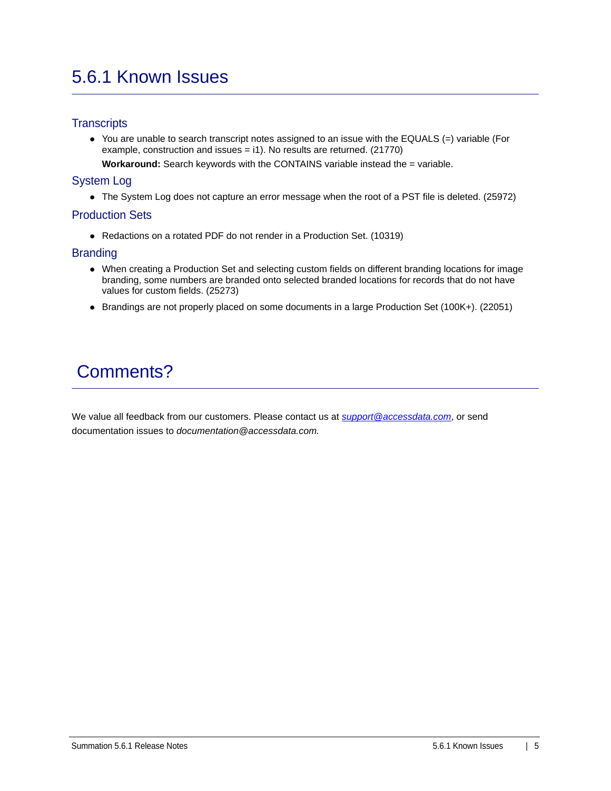# 5.6.1 Known Issues

# **Transcripts**

You are unable to search transcript notes assigned to an issue with the EQUALS (=) variable (For example, construction and issues = i1). No results are returned. (21770)

**Workaround:** Search keywords with the CONTAINS variable instead the = variable.

# System Log

The System Log does not capture an error message when the root of a PST file is deleted. (25972)

## Production Sets

Redactions on a rotated PDF do not render in a Production Set. (10319)

## **Branding**

- When creating a Production Set and selecting custom fields on different branding locations for image branding, some numbers are branded onto selected branded locations for records that do not have values for custom fields. (25273)
- Brandings are not properly placed on some documents in a large Production Set (100K+). (22051)

# Comments?

We value all feedback from our customers. Please contact us at *[support@accessdata.com](mailto:support@accessdata.com)*, or send documentation issues to *documentation@accessdata.com.*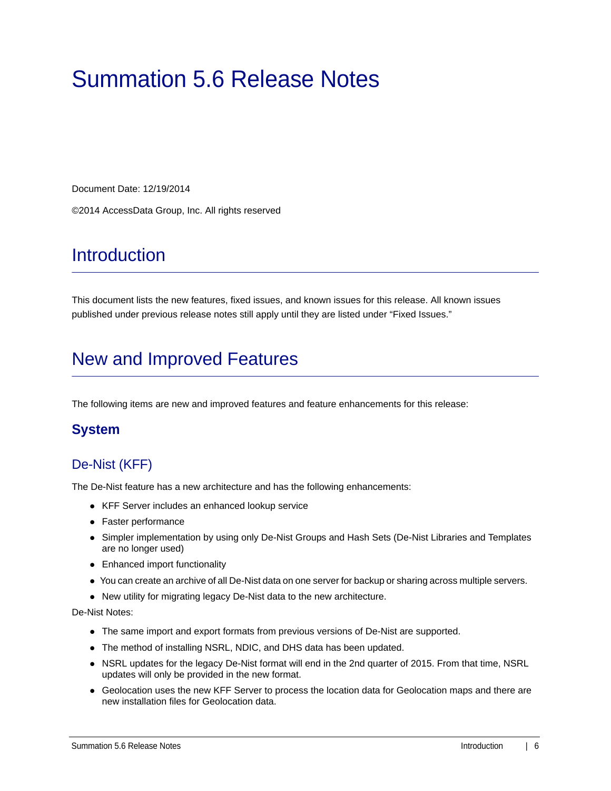# <span id="page-5-0"></span>Summation 5.6 Release Notes

Document Date: 12/19/2014

©2014 AccessData Group, Inc. All rights reserved

# **Introduction**

This document lists the new features, fixed issues, and known issues for this release. All known issues published under previous release notes still apply until they are listed under "Fixed Issues."

# New and Improved Features

The following items are new and improved features and feature enhancements for this release:

# **System**

# De-Nist (KFF)

The De-Nist feature has a new architecture and has the following enhancements:

- KFF Server includes an enhanced lookup service
- Faster performance
- Simpler implementation by using only De-Nist Groups and Hash Sets (De-Nist Libraries and Templates are no longer used)
- Enhanced import functionality
- You can create an archive of all De-Nist data on one server for backup or sharing across multiple servers.
- New utility for migrating legacy De-Nist data to the new architecture.

De-Nist Notes:

- The same import and export formats from previous versions of De-Nist are supported.
- The method of installing NSRL, NDIC, and DHS data has been updated.
- NSRL updates for the legacy De-Nist format will end in the 2nd quarter of 2015. From that time, NSRL updates will only be provided in the new format.
- Geolocation uses the new KFF Server to process the location data for Geolocation maps and there are new installation files for Geolocation data.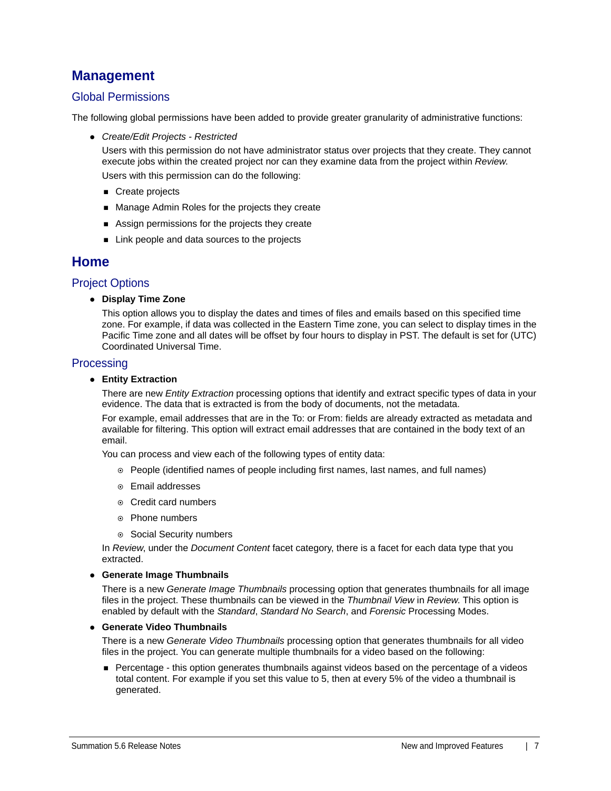# **Management**

# Global Permissions

The following global permissions have been added to provide greater granularity of administrative functions:

*Create/Edit Projects - Restricted* 

Users with this permission do not have administrator status over projects that they create. They cannot execute jobs within the created project nor can they examine data from the project within *Review*. Users with this permission can do the following:

- Create projects
- **Manage Admin Roles for the projects they create**
- Assign permissions for the projects they create
- Link people and data sources to the projects

# **Home**

#### Project Options

**Display Time Zone**

This option allows you to display the dates and times of files and emails based on this specified time zone. For example, if data was collected in the Eastern Time zone, you can select to display times in the Pacific Time zone and all dates will be offset by four hours to display in PST. The default is set for (UTC) Coordinated Universal Time.

#### **Processing**

**Entity Extraction**

There are new *Entity Extraction* processing options that identify and extract specific types of data in your evidence. The data that is extracted is from the body of documents, not the metadata.

For example, email addresses that are in the To: or From: fields are already extracted as metadata and available for filtering. This option will extract email addresses that are contained in the body text of an email.

You can process and view each of the following types of entity data:

- People (identified names of people including first names, last names, and full names)
- Email addresses
- Credit card numbers
- ◎ Phone numbers
- Social Security numbers

In *Review*, under the *Document Content* facet category, there is a facet for each data type that you extracted.

#### **Generate Image Thumbnails**

There is a new *Generate Image Thumbnails* processing option that generates thumbnails for all image files in the project. These thumbnails can be viewed in the *Thumbnail View* in *Review*. This option is enabled by default with the *Standard*, *Standard No Search*, and *Forensic* Processing Modes.

#### **Generate Video Thumbnails**

There is a new *Generate Video Thumbnails* processing option that generates thumbnails for all video files in the project. You can generate multiple thumbnails for a video based on the following:

**Percentage - this option generates thumbnails against videos based on the percentage of a videos** total content. For example if you set this value to 5, then at every 5% of the video a thumbnail is generated.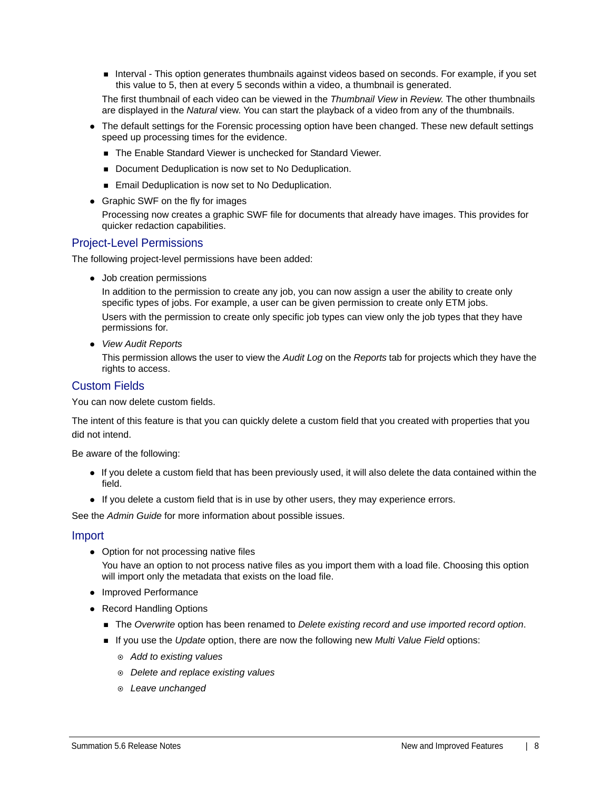**Interval - This option generates thumbnails against videos based on seconds. For example, if you set** this value to 5, then at every 5 seconds within a video, a thumbnail is generated.

The first thumbnail of each video can be viewed in the *Thumbnail View* in *Review*. The other thumbnails are displayed in the *Natural* view. You can start the playback of a video from any of the thumbnails.

- The default settings for the Forensic processing option have been changed. These new default settings speed up processing times for the evidence.
	- The Enable Standard Viewer is unchecked for Standard Viewer.
	- Document Deduplication is now set to No Deduplication.
	- Email Deduplication is now set to No Deduplication.
- Graphic SWF on the fly for images Processing now creates a graphic SWF file for documents that already have images. This provides for quicker redaction capabilities.

#### Project-Level Permissions

The following project-level permissions have been added:

• Job creation permissions

In addition to the permission to create any job, you can now assign a user the ability to create only specific types of jobs. For example, a user can be given permission to create only ETM jobs. Users with the permission to create only specific job types can view only the job types that they have permissions for.

*View Audit Reports*

This permission allows the user to view the *Audit Log* on the *Reports* tab for projects which they have the rights to access.

### Custom Fields

You can now delete custom fields.

The intent of this feature is that you can quickly delete a custom field that you created with properties that you did not intend.

Be aware of the following:

- If you delete a custom field that has been previously used, it will also delete the data contained within the field.
- If you delete a custom field that is in use by other users, they may experience errors.

See the *Admin Guide* for more information about possible issues.

#### Import

- Option for not processing native files You have an option to not process native files as you import them with a load file. Choosing this option will import only the metadata that exists on the load file.
- Improved Performance
- Record Handling Options
	- The *Overwrite* option has been renamed to *Delete existing record and use imported record option*.
	- If you use the *Update* option, there are now the following new *Multi Value Field* options:
		- *Add to existing values*
		- *Delete and replace existing values*
		- *Leave unchanged*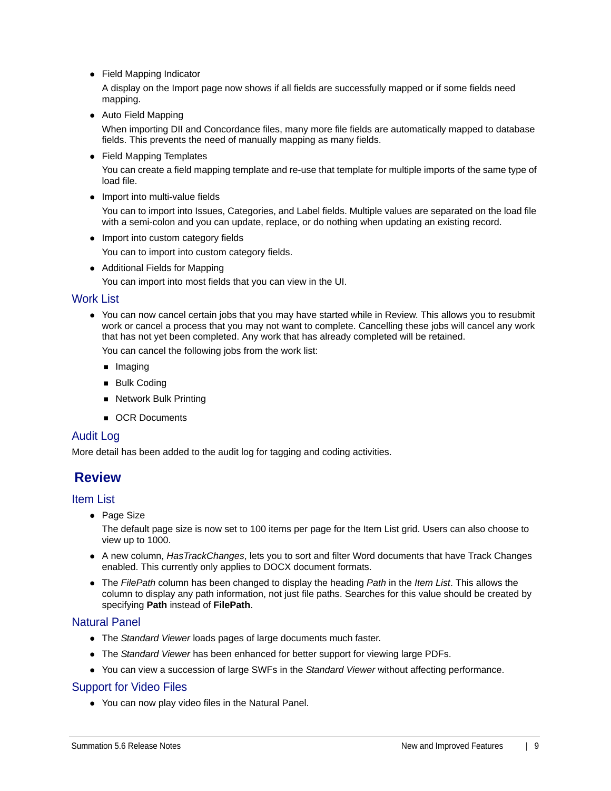Field Mapping Indicator

A display on the Import page now shows if all fields are successfully mapped or if some fields need mapping.

• Auto Field Mapping

When importing DII and Concordance files, many more file fields are automatically mapped to database fields. This prevents the need of manually mapping as many fields.

• Field Mapping Templates

You can create a field mapping template and re-use that template for multiple imports of the same type of load file.

• Import into multi-value fields

You can to import into Issues, Categories, and Label fields. Multiple values are separated on the load file with a semi-colon and you can update, replace, or do nothing when updating an existing record.

• Import into custom category fields

You can to import into custom category fields.

• Additional Fields for Mapping

You can import into most fields that you can view in the UI.

#### Work List

You can now cancel certain jobs that you may have started while in Review. This allows you to resubmit work or cancel a process that you may not want to complete. Cancelling these jobs will cancel any work that has not yet been completed. Any work that has already completed will be retained.

You can cancel the following jobs from the work list:

- **Imaging**
- **Bulk Coding**
- Network Bulk Printing
- OCR Documents

#### Audit Log

More detail has been added to the audit log for tagging and coding activities.

# **Review**

#### Item List

• Page Size

The default page size is now set to 100 items per page for the Item List grid. Users can also choose to view up to 1000.

- A new column, *HasTrackChanges*, lets you to sort and filter Word documents that have Track Changes enabled. This currently only applies to DOCX document formats.
- The *FilePath* column has been changed to display the heading *Path* in the *Item List*. This allows the column to display any path information, not just file paths. Searches for this value should be created by specifying **Path** instead of **FilePath**.

#### Natural Panel

- The *Standard Viewer* loads pages of large documents much faster.
- The *Standard Viewer* has been enhanced for better support for viewing large PDFs.
- You can view a succession of large SWFs in the *Standard Viewer* without affecting performance.

#### Support for Video Files

You can now play video files in the Natural Panel.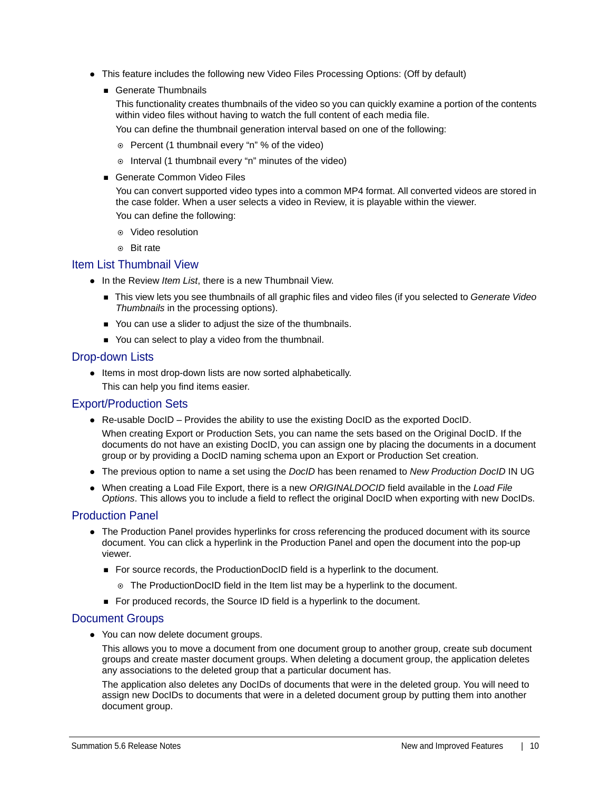- This feature includes the following new Video Files Processing Options: (Off by default)
	- Generate Thumbnails

This functionality creates thumbnails of the video so you can quickly examine a portion of the contents within video files without having to watch the full content of each media file.

You can define the thumbnail generation interval based on one of the following:

- Percent (1 thumbnail every "n" % of the video)
- o Interval (1 thumbnail every "n" minutes of the video)
- Generate Common Video Files

You can convert supported video types into a common MP4 format. All converted videos are stored in the case folder. When a user selects a video in Review, it is playable within the viewer.

You can define the following:

- Video resolution
- Bit rate

#### Item List Thumbnail View

- In the Review *Item List*, there is a new Thumbnail View.
	- This view lets you see thumbnails of all graphic files and video files (if you selected to *Generate Video Thumbnails* in the processing options).
	- You can use a slider to adjust the size of the thumbnails.
	- You can select to play a video from the thumbnail.

#### Drop-down Lists

• Items in most drop-down lists are now sorted alphabetically.

This can help you find items easier.

#### Export/Production Sets

- Re-usable DocID Provides the ability to use the existing DocID as the exported DocID. When creating Export or Production Sets, you can name the sets based on the Original DocID. If the documents do not have an existing DocID, you can assign one by placing the documents in a document group or by providing a DocID naming schema upon an Export or Production Set creation.
- The previous option to name a set using the *DocID* has been renamed to *New Production DocID* IN UG
- When creating a Load File Export, there is a new *ORIGINALDOCID* field available in the *Load File Options*. This allows you to include a field to reflect the original DocID when exporting with new DocIDs.

#### Production Panel

- The Production Panel provides hyperlinks for cross referencing the produced document with its source document. You can click a hyperlink in the Production Panel and open the document into the pop-up viewer.
	- For source records, the ProductionDocID field is a hyperlink to the document.
		- The ProductionDocID field in the Item list may be a hyperlink to the document.
	- For produced records, the Source ID field is a hyperlink to the document.

#### Document Groups

• You can now delete document groups.

This allows you to move a document from one document group to another group, create sub document groups and create master document groups. When deleting a document group, the application deletes any associations to the deleted group that a particular document has.

The application also deletes any DocIDs of documents that were in the deleted group. You will need to assign new DocIDs to documents that were in a deleted document group by putting them into another document group.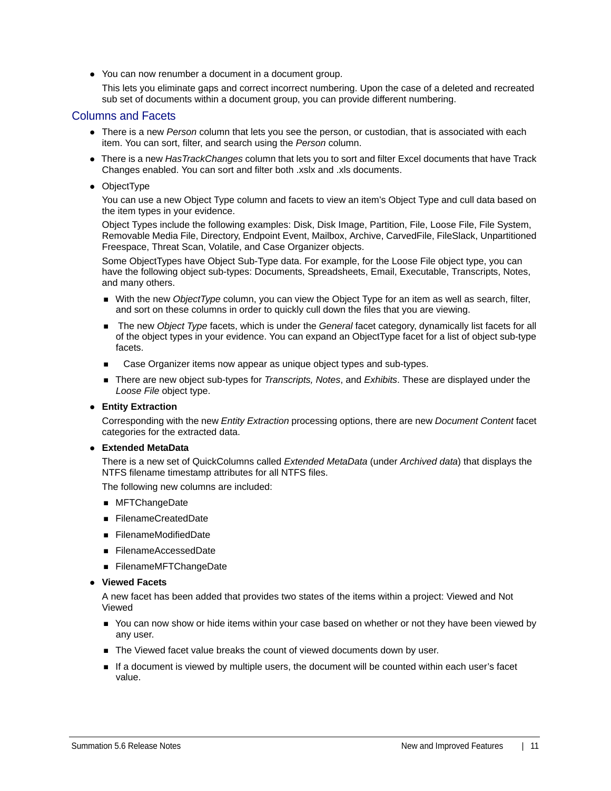You can now renumber a document in a document group.

This lets you eliminate gaps and correct incorrect numbering. Upon the case of a deleted and recreated sub set of documents within a document group, you can provide different numbering.

#### Columns and Facets

- There is a new *Person* column that lets you see the person, or custodian, that is associated with each item. You can sort, filter, and search using the *Person* column.
- There is a new *HasTrackChanges* column that lets you to sort and filter Excel documents that have Track Changes enabled. You can sort and filter both .xslx and .xls documents.
- ObjectType

You can use a new Object Type column and facets to view an item's Object Type and cull data based on the item types in your evidence.

Object Types include the following examples: Disk, Disk Image, Partition, File, Loose File, File System, Removable Media File, Directory, Endpoint Event, Mailbox, Archive, CarvedFile, FileSlack, Unpartitioned Freespace, Threat Scan, Volatile, and Case Organizer objects.

Some ObjectTypes have Object Sub-Type data. For example, for the Loose File object type, you can have the following object sub-types: Documents, Spreadsheets, Email, Executable, Transcripts, Notes, and many others.

- With the new *ObjectType* column, you can view the Object Type for an item as well as search, filter, and sort on these columns in order to quickly cull down the files that you are viewing.
- The new *Object Type* facets, which is under the *General* facet category, dynamically list facets for all of the object types in your evidence. You can expand an ObjectType facet for a list of object sub-type facets.
- Case Organizer items now appear as unique object types and sub-types.
- There are new object sub-types for *Transcripts, Notes*, and *Exhibits*. These are displayed under the *Loose File* object type.

#### **Entity Extraction**

Corresponding with the new *Entity Extraction* processing options, there are new *Document Content* facet categories for the extracted data.

#### **Extended MetaData**

There is a new set of QuickColumns called *Extended MetaData* (under *Archived data*) that displays the NTFS filename timestamp attributes for all NTFS files.

The following new columns are included:

- MFTChangeDate
- FilenameCreatedDate
- FilenameModifiedDate
- FilenameAccessedDate
- FilenameMFTChangeDate
- **Viewed Facets**

A new facet has been added that provides two states of the items within a project: Viewed and Not Viewed

- You can now show or hide items within your case based on whether or not they have been viewed by any user.
- The Viewed facet value breaks the count of viewed documents down by user.
- If a document is viewed by multiple users, the document will be counted within each user's facet value.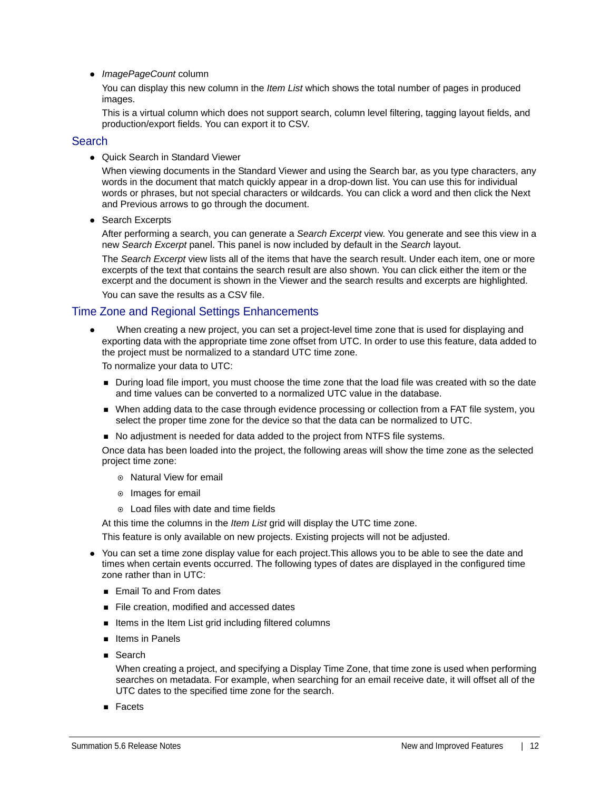*ImagePageCount* column

You can display this new column in the *Item List* which shows the total number of pages in produced images.

This is a virtual column which does not support search, column level filtering, tagging layout fields, and production/export fields. You can export it to CSV.

#### **Search**

Quick Search in Standard Viewer

When viewing documents in the Standard Viewer and using the Search bar, as you type characters, any words in the document that match quickly appear in a drop-down list. You can use this for individual words or phrases, but not special characters or wildcards. You can click a word and then click the Next and Previous arrows to go through the document.

• Search Excerpts

After performing a search, you can generate a *Search Excerpt* view. You generate and see this view in a new *Search Excerpt* panel. This panel is now included by default in the *Search* layout.

The *Search Excerpt* view lists all of the items that have the search result. Under each item, one or more excerpts of the text that contains the search result are also shown. You can click either the item or the excerpt and the document is shown in the Viewer and the search results and excerpts are highlighted.

You can save the results as a CSV file.

#### Time Zone and Regional Settings Enhancements

 When creating a new project, you can set a project-level time zone that is used for displaying and exporting data with the appropriate time zone offset from UTC. In order to use this feature, data added to the project must be normalized to a standard UTC time zone.

To normalize your data to UTC:

- **During load file import, you must choose the time zone that the load file was created with so the date** and time values can be converted to a normalized UTC value in the database.
- When adding data to the case through evidence processing or collection from a FAT file system, you select the proper time zone for the device so that the data can be normalized to UTC.
- No adjustment is needed for data added to the project from NTFS file systems.

Once data has been loaded into the project, the following areas will show the time zone as the selected project time zone:

- Natural View for email
- $\circ$  Images for email
- Load files with date and time fields

At this time the columns in the *Item List* grid will display the UTC time zone.

This feature is only available on new projects. Existing projects will not be adjusted.

- You can set a time zone display value for each project.This allows you to be able to see the date and times when certain events occurred. The following types of dates are displayed in the configured time zone rather than in UTC:
	- **Email To and From dates**
	- File creation, modified and accessed dates
	- Items in the Item List grid including filtered columns
	- **Iftems in Panels**
	- Search

When creating a project, and specifying a Display Time Zone, that time zone is used when performing searches on metadata. For example, when searching for an email receive date, it will offset all of the UTC dates to the specified time zone for the search.

■ Facets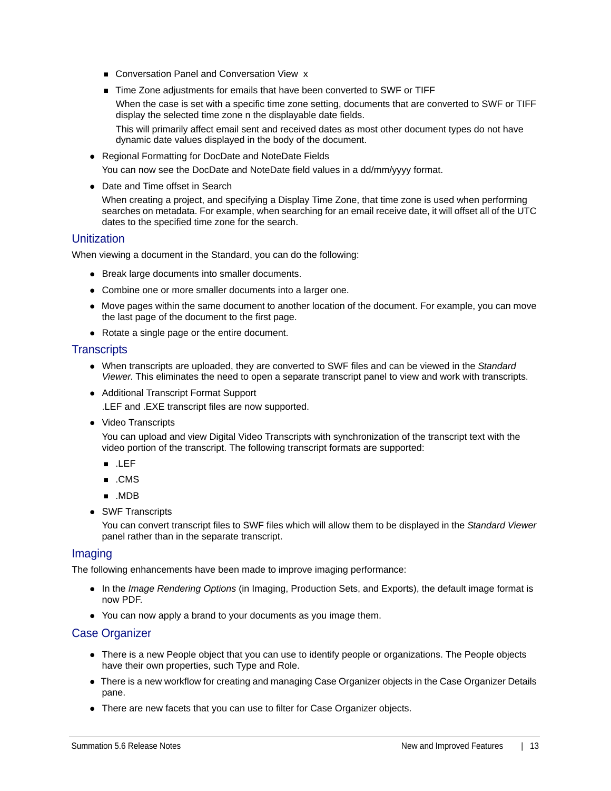- Conversation Panel and Conversation View x
- Time Zone adjustments for emails that have been converted to SWF or TIFF When the case is set with a specific time zone setting, documents that are converted to SWF or TIFF display the selected time zone n the displayable date fields. This will primarily affect email sent and received dates as most other document types do not have dynamic date values displayed in the body of the document.
- Regional Formatting for DocDate and NoteDate Fields You can now see the DocDate and NoteDate field values in a dd/mm/yyyy format.
- Date and Time offset in Search

When creating a project, and specifying a Display Time Zone, that time zone is used when performing searches on metadata. For example, when searching for an email receive date, it will offset all of the UTC dates to the specified time zone for the search.

### **Unitization**

When viewing a document in the Standard, you can do the following:

- Break large documents into smaller documents.
- Combine one or more smaller documents into a larger one.
- Move pages within the same document to another location of the document. For example, you can move the last page of the document to the first page.
- Rotate a single page or the entire document.

#### **Transcripts**

- When transcripts are uploaded, they are converted to SWF files and can be viewed in the *Standard Viewer*. This eliminates the need to open a separate transcript panel to view and work with transcripts.
- Additional Transcript Format Support

.LEF and .EXE transcript files are now supported.

• Video Transcripts

You can upload and view Digital Video Transcripts with synchronization of the transcript text with the video portion of the transcript. The following transcript formats are supported:

- .LEF
- .CMS
- .MDB
- SWF Transcripts

You can convert transcript files to SWF files which will allow them to be displayed in the *Standard Viewer* panel rather than in the separate transcript.

#### Imaging

The following enhancements have been made to improve imaging performance:

- In the *Image Rendering Options* (in Imaging, Production Sets, and Exports), the default image format is now PDF.
- You can now apply a brand to your documents as you image them.

#### Case Organizer

- There is a new People object that you can use to identify people or organizations. The People objects have their own properties, such Type and Role.
- There is a new workflow for creating and managing Case Organizer objects in the Case Organizer Details pane.
- There are new facets that you can use to filter for Case Organizer objects.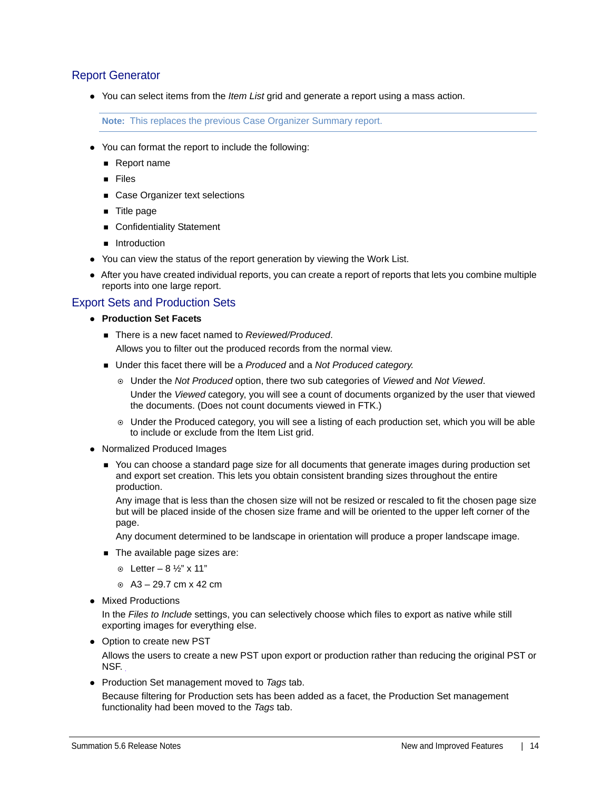### Report Generator

You can select items from the *Item List* grid and generate a report using a mass action.

**Note:** This replaces the previous Case Organizer Summary report.

- You can format the report to include the following:
	- Report name
	- Files
	- Case Organizer text selections
	- **Title page**
	- Confidentiality Statement
	- **n** Introduction
- You can view the status of the report generation by viewing the Work List.
- After you have created individual reports, you can create a report of reports that lets you combine multiple reports into one large report.

## Export Sets and Production Sets

- **Production Set Facets**
	- There is a new facet named to *Reviewed/Produced*.

Allows you to filter out the produced records from the normal view.

- Under this facet there will be a *Produced* and a *Not Produced category*.
	- Under the *Not Produced* option, there two sub categories of *Viewed* and *Not Viewed*. Under the *Viewed* category, you will see a count of documents organized by the user that viewed the documents. (Does not count documents viewed in FTK.)
	- Under the Produced category, you will see a listing of each production set, which you will be able to include or exclude from the Item List grid.
- Normalized Produced Images
	- You can choose a standard page size for all documents that generate images during production set and export set creation. This lets you obtain consistent branding sizes throughout the entire production.

Any image that is less than the chosen size will not be resized or rescaled to fit the chosen page size but will be placed inside of the chosen size frame and will be oriented to the upper left corner of the page.

Any document determined to be landscape in orientation will produce a proper landscape image.

- The available page sizes are:
	- $\odot$  Letter 8  $\frac{1}{2}$ " x 11"
	- $\circ$  A3 29.7 cm x 42 cm
- Mixed Productions

In the *Files to Include* settings, you can selectively choose which files to export as native while still exporting images for everything else.

• Option to create new PST

Allows the users to create a new PST upon export or production rather than reducing the original PST or NSF.

Production Set management moved to *Tags* tab.

Because filtering for Production sets has been added as a facet, the Production Set management functionality had been moved to the *Tags* tab.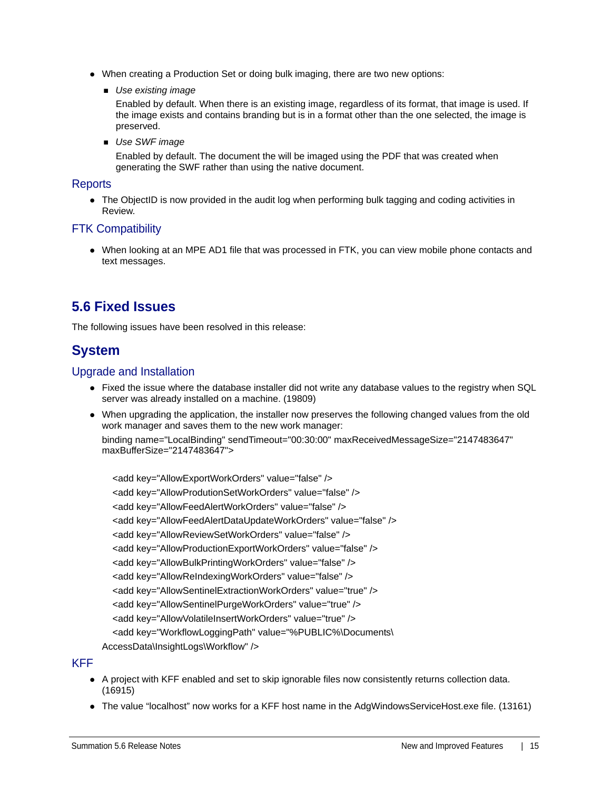- When creating a Production Set or doing bulk imaging, there are two new options:
	- *Use existing image*

Enabled by default. When there is an existing image, regardless of its format, that image is used. If the image exists and contains branding but is in a format other than the one selected, the image is preserved.

*Use SWF image*

Enabled by default. The document the will be imaged using the PDF that was created when generating the SWF rather than using the native document.

#### **Reports**

• The ObjectID is now provided in the audit log when performing bulk tagging and coding activities in Review.

## FTK Compatibility

When looking at an MPE AD1 file that was processed in FTK, you can view mobile phone contacts and text messages.

# **5.6 Fixed Issues**

The following issues have been resolved in this release:

# **System**

### Upgrade and Installation

- Fixed the issue where the database installer did not write any database values to the registry when SQL server was already installed on a machine. (19809)
- When upgrading the application, the installer now preserves the following changed values from the old work manager and saves them to the new work manager: binding name="LocalBinding" sendTimeout="00:30:00" maxReceivedMessageSize="2147483647" maxBufferSize="2147483647">

 <add key="AllowExportWorkOrders" value="false" /> <add key="AllowProdutionSetWorkOrders" value="false" /> <add key="AllowFeedAlertWorkOrders" value="false" /> <add key="AllowFeedAlertDataUpdateWorkOrders" value="false" /> <add key="AllowReviewSetWorkOrders" value="false" /> <add key="AllowProductionExportWorkOrders" value="false" /> <add key="AllowBulkPrintingWorkOrders" value="false" /> <add key="AllowReIndexingWorkOrders" value="false" /> <add key="AllowSentinelExtractionWorkOrders" value="true" /> <add key="AllowSentinelPurgeWorkOrders" value="true" /> <add key="AllowVolatileInsertWorkOrders" value="true" /> <add key="WorkflowLoggingPath" value="%PUBLIC%\Documents\ AccessData\InsightLogs\Workflow" />

## KFF

- A project with KFF enabled and set to skip ignorable files now consistently returns collection data. (16915)
- The value "localhost" now works for a KFF host name in the AdgWindowsServiceHost.exe file. (13161)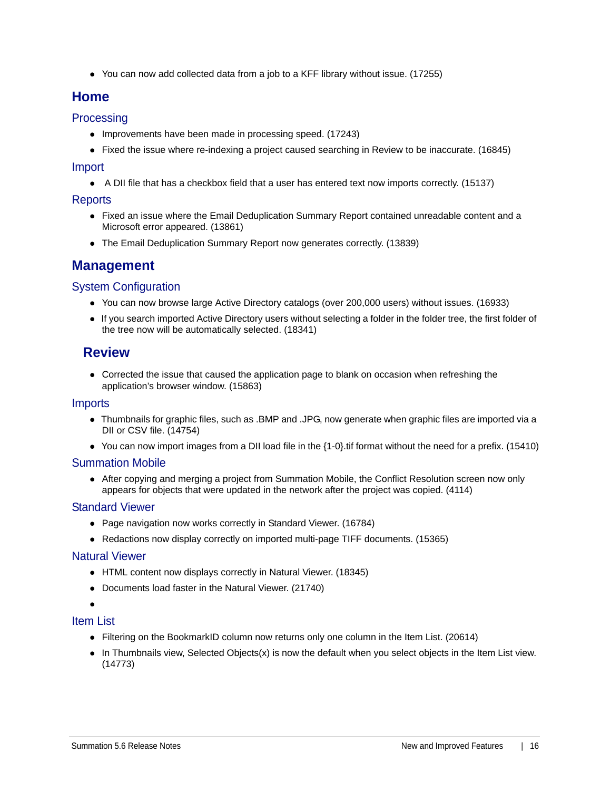• You can now add collected data from a job to a KFF library without issue. (17255)

# **Home**

# **Processing**

- Improvements have been made in processing speed. (17243)
- Fixed the issue where re-indexing a project caused searching in Review to be inaccurate. (16845)

#### Import

• A DII file that has a checkbox field that a user has entered text now imports correctly. (15137)

### **Reports**

- Fixed an issue where the Email Deduplication Summary Report contained unreadable content and a Microsoft error appeared. (13861)
- The Email Deduplication Summary Report now generates correctly. (13839)

# **Management**

## System Configuration

- You can now browse large Active Directory catalogs (over 200,000 users) without issues. (16933)
- If you search imported Active Directory users without selecting a folder in the folder tree, the first folder of the tree now will be automatically selected. (18341)

# **Review**

Corrected the issue that caused the application page to blank on occasion when refreshing the application's browser window. (15863)

#### Imports

- Thumbnails for graphic files, such as .BMP and .JPG, now generate when graphic files are imported via a DII or CSV file. (14754)
- You can now import images from a DII load file in the {1-0}.tif format without the need for a prefix. (15410)

## Summation Mobile

After copying and merging a project from Summation Mobile, the Conflict Resolution screen now only appears for objects that were updated in the network after the project was copied. (4114)

## Standard Viewer

- Page navigation now works correctly in Standard Viewer. (16784)
- Redactions now display correctly on imported multi-page TIFF documents. (15365)

#### Natural Viewer

- HTML content now displays correctly in Natural Viewer. (18345)
- Documents load faster in the Natural Viewer. (21740)
- $\bullet$

# Item List

- Filtering on the BookmarkID column now returns only one column in the Item List. (20614)
- $\bullet$  In Thumbnails view, Selected Objects(x) is now the default when you select objects in the Item List view. (14773)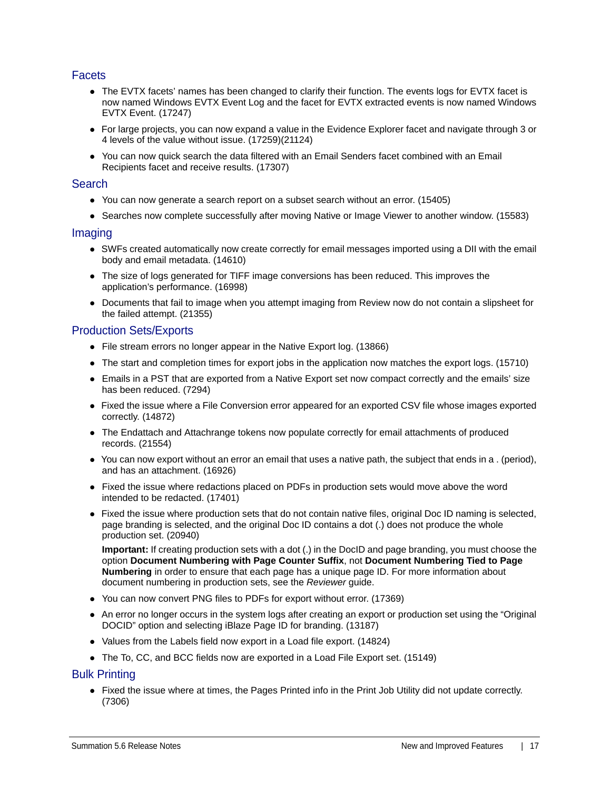## **Facets**

- The EVTX facets' names has been changed to clarify their function. The events logs for EVTX facet is now named Windows EVTX Event Log and the facet for EVTX extracted events is now named Windows EVTX Event. (17247)
- For large projects, you can now expand a value in the Evidence Explorer facet and navigate through 3 or 4 levels of the value without issue. (17259)(21124)
- You can now quick search the data filtered with an Email Senders facet combined with an Email Recipients facet and receive results. (17307)

#### **Search**

- You can now generate a search report on a subset search without an error. (15405)
- Searches now complete successfully after moving Native or Image Viewer to another window. (15583)

#### Imaging

- SWFs created automatically now create correctly for email messages imported using a DII with the email body and email metadata. (14610)
- The size of logs generated for TIFF image conversions has been reduced. This improves the application's performance. (16998)
- Documents that fail to image when you attempt imaging from Review now do not contain a slipsheet for the failed attempt. (21355)

#### Production Sets/Exports

- File stream errors no longer appear in the Native Export log. (13866)
- The start and completion times for export jobs in the application now matches the export logs. (15710)
- Emails in a PST that are exported from a Native Export set now compact correctly and the emails' size has been reduced. (7294)
- Fixed the issue where a File Conversion error appeared for an exported CSV file whose images exported correctly. (14872)
- The Endattach and Attachrange tokens now populate correctly for email attachments of produced records. (21554)
- You can now export without an error an email that uses a native path, the subject that ends in a . (period), and has an attachment. (16926)
- Fixed the issue where redactions placed on PDFs in production sets would move above the word intended to be redacted. (17401)
- Fixed the issue where production sets that do not contain native files, original Doc ID naming is selected, page branding is selected, and the original Doc ID contains a dot (.) does not produce the whole production set. (20940)

**Important:** If creating production sets with a dot (.) in the DocID and page branding, you must choose the option **Document Numbering with Page Counter Suffix**, not **Document Numbering Tied to Page Numbering** in order to ensure that each page has a unique page ID. For more information about document numbering in production sets, see the *Reviewer* guide.

- You can now convert PNG files to PDFs for export without error. (17369)
- An error no longer occurs in the system logs after creating an export or production set using the "Original DOCID" option and selecting iBlaze Page ID for branding. (13187)
- Values from the Labels field now export in a Load file export. (14824)
- The To, CC, and BCC fields now are exported in a Load File Export set. (15149)

#### Bulk Printing

Fixed the issue where at times, the Pages Printed info in the Print Job Utility did not update correctly. (7306)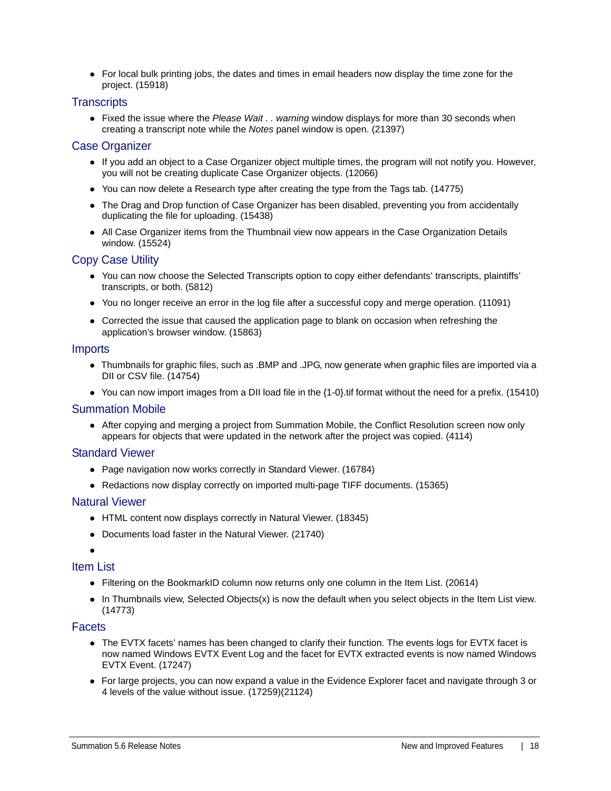For local bulk printing jobs, the dates and times in email headers now display the time zone for the project. (15918)

#### **Transcripts**

Fixed the issue where the *Please Wait . . warning* window displays for more than 30 seconds when creating a transcript note while the *Notes* panel window is open. (21397)

#### Case Organizer

- If you add an object to a Case Organizer object multiple times, the program will not notify you. However, you will not be creating duplicate Case Organizer objects. (12066)
- You can now delete a Research type after creating the type from the Tags tab. (14775)
- The Drag and Drop function of Case Organizer has been disabled, preventing you from accidentally duplicating the file for uploading. (15438)
- All Case Organizer items from the Thumbnail view now appears in the Case Organization Details window. (15524)

### Copy Case Utility

- You can now choose the Selected Transcripts option to copy either defendants' transcripts, plaintiffs' transcripts, or both. (5812)
- You no longer receive an error in the log file after a successful copy and merge operation. (11091)
- Corrected the issue that caused the application page to blank on occasion when refreshing the application's browser window. (15863)

#### Imports

- Thumbnails for graphic files, such as .BMP and .JPG, now generate when graphic files are imported via a DII or CSV file. (14754)
- You can now import images from a DII load file in the {1-0}.tif format without the need for a prefix. (15410)

#### Summation Mobile

After copying and merging a project from Summation Mobile, the Conflict Resolution screen now only appears for objects that were updated in the network after the project was copied. (4114)

#### Standard Viewer

- Page navigation now works correctly in Standard Viewer. (16784)
- Redactions now display correctly on imported multi-page TIFF documents. (15365)

#### Natural Viewer

- HTML content now displays correctly in Natural Viewer. (18345)
- Documents load faster in the Natural Viewer. (21740)

 $\bullet$ 

## Item List

- Filtering on the BookmarkID column now returns only one column in the Item List. (20614)
- $\bullet$  In Thumbnails view, Selected Objects(x) is now the default when you select objects in the Item List view. (14773)

#### **Facets**

- The EVTX facets' names has been changed to clarify their function. The events logs for EVTX facet is now named Windows EVTX Event Log and the facet for EVTX extracted events is now named Windows EVTX Event. (17247)
- For large projects, you can now expand a value in the Evidence Explorer facet and navigate through 3 or 4 levels of the value without issue. (17259)(21124)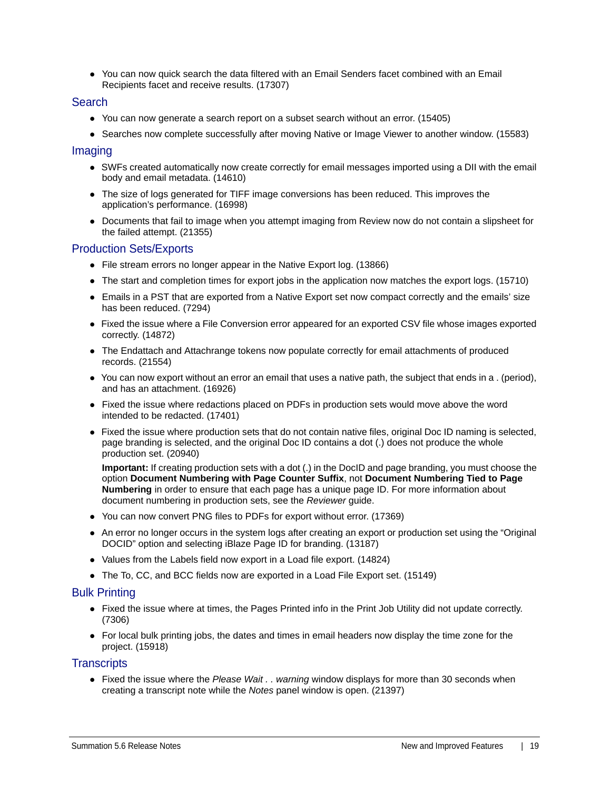You can now quick search the data filtered with an Email Senders facet combined with an Email Recipients facet and receive results. (17307)

#### Search

- You can now generate a search report on a subset search without an error. (15405)
- Searches now complete successfully after moving Native or Image Viewer to another window. (15583)

#### Imaging

- SWFs created automatically now create correctly for email messages imported using a DII with the email body and email metadata. (14610)
- The size of logs generated for TIFF image conversions has been reduced. This improves the application's performance. (16998)
- Documents that fail to image when you attempt imaging from Review now do not contain a slipsheet for the failed attempt. (21355)

### Production Sets/Exports

- File stream errors no longer appear in the Native Export log. (13866)
- The start and completion times for export jobs in the application now matches the export logs. (15710)
- Emails in a PST that are exported from a Native Export set now compact correctly and the emails' size has been reduced. (7294)
- Fixed the issue where a File Conversion error appeared for an exported CSV file whose images exported correctly. (14872)
- The Endattach and Attachrange tokens now populate correctly for email attachments of produced records. (21554)
- You can now export without an error an email that uses a native path, the subject that ends in a . (period), and has an attachment. (16926)
- Fixed the issue where redactions placed on PDFs in production sets would move above the word intended to be redacted. (17401)
- Fixed the issue where production sets that do not contain native files, original Doc ID naming is selected, page branding is selected, and the original Doc ID contains a dot (.) does not produce the whole production set. (20940)

**Important:** If creating production sets with a dot (.) in the DocID and page branding, you must choose the option **Document Numbering with Page Counter Suffix**, not **Document Numbering Tied to Page Numbering** in order to ensure that each page has a unique page ID. For more information about document numbering in production sets, see the *Reviewer* guide.

- You can now convert PNG files to PDFs for export without error. (17369)
- An error no longer occurs in the system logs after creating an export or production set using the "Original DOCID" option and selecting iBlaze Page ID for branding. (13187)
- Values from the Labels field now export in a Load file export. (14824)
- The To, CC, and BCC fields now are exported in a Load File Export set. (15149)

#### Bulk Printing

- Fixed the issue where at times, the Pages Printed info in the Print Job Utility did not update correctly. (7306)
- For local bulk printing jobs, the dates and times in email headers now display the time zone for the project. (15918)

#### **Transcripts**

Fixed the issue where the *Please Wait . . warning* window displays for more than 30 seconds when creating a transcript note while the *Notes* panel window is open. (21397)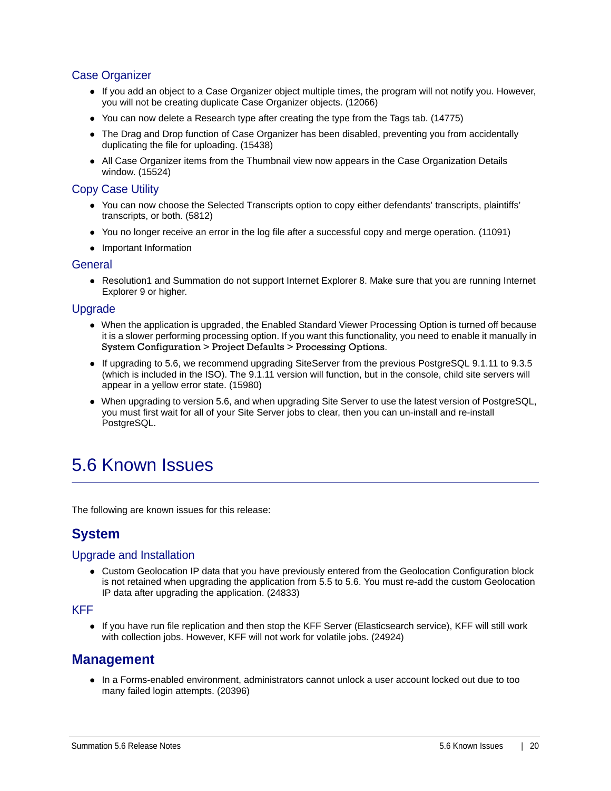# Case Organizer

- If you add an object to a Case Organizer object multiple times, the program will not notify you. However, you will not be creating duplicate Case Organizer objects. (12066)
- You can now delete a Research type after creating the type from the Tags tab. (14775)
- The Drag and Drop function of Case Organizer has been disabled, preventing you from accidentally duplicating the file for uploading. (15438)
- All Case Organizer items from the Thumbnail view now appears in the Case Organization Details window. (15524)

## Copy Case Utility

- You can now choose the Selected Transcripts option to copy either defendants' transcripts, plaintiffs' transcripts, or both. (5812)
- You no longer receive an error in the log file after a successful copy and merge operation. (11091)
- Important Information

#### **General**

Resolution1 and Summation do not support Internet Explorer 8. Make sure that you are running Internet Explorer 9 or higher.

#### Upgrade

- When the application is upgraded, the Enabled Standard Viewer Processing Option is turned off because it is a slower performing processing option. If you want this functionality, you need to enable it manually in System Configuration > Project Defaults > Processing Options.
- If upgrading to 5.6, we recommend upgrading SiteServer from the previous PostgreSQL 9.1.11 to 9.3.5 (which is included in the ISO). The 9.1.11 version will function, but in the console, child site servers will appear in a yellow error state. (15980)
- When upgrading to version 5.6, and when upgrading Site Server to use the latest version of PostgreSQL, you must first wait for all of your Site Server jobs to clear, then you can un-install and re-install PostgreSQL.

# 5.6 Known Issues

The following are known issues for this release:

# **System**

#### Upgrade and Installation

• Custom Geolocation IP data that you have previously entered from the Geolocation Configuration block is not retained when upgrading the application from 5.5 to 5.6. You must re-add the custom Geolocation IP data after upgrading the application. (24833)

KFF

If you have run file replication and then stop the KFF Server (Elasticsearch service), KFF will still work with collection jobs. However, KFF will not work for volatile jobs. (24924)

# **Management**

In a Forms-enabled environment, administrators cannot unlock a user account locked out due to too many failed login attempts. (20396)